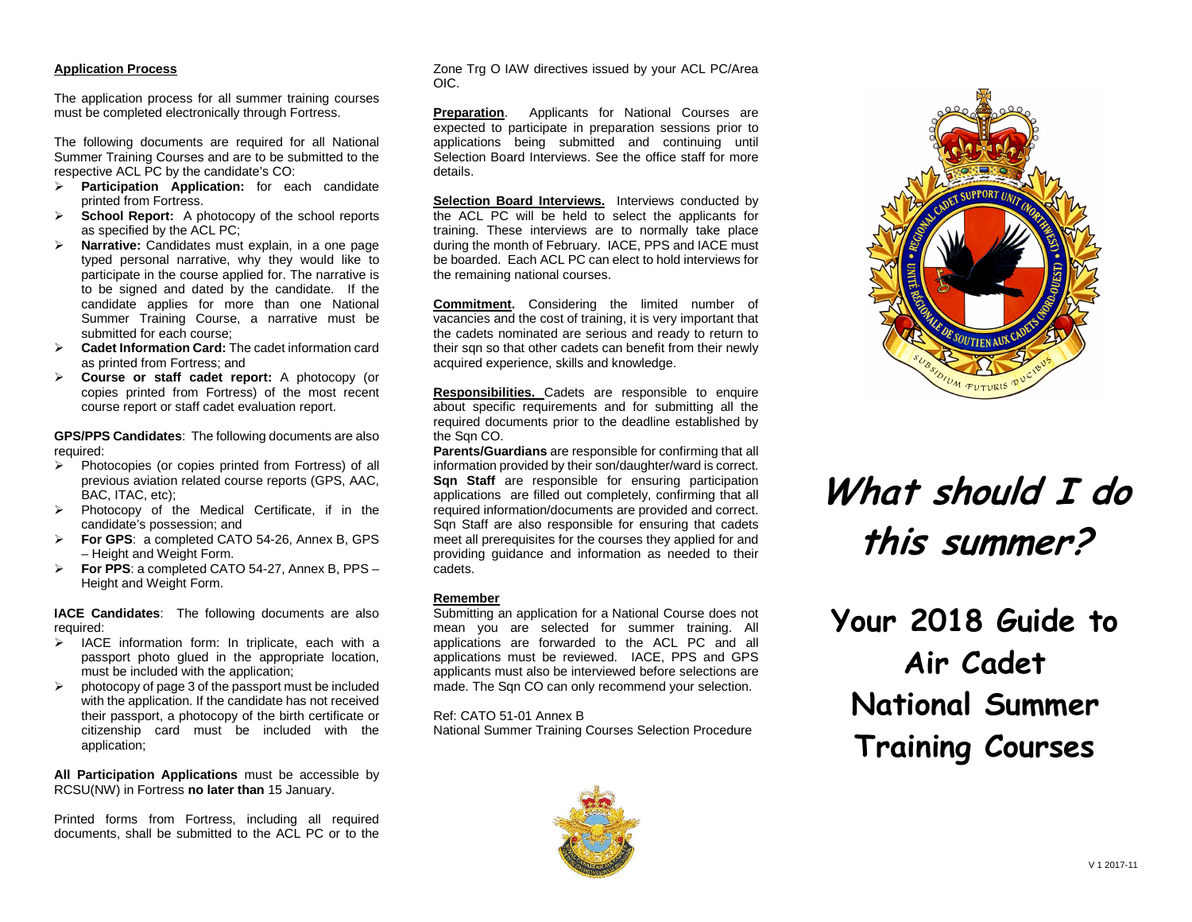#### **Application Process**

The application process for all summer training courses must be completed electronically through Fortress.

The following documents are required for all National Summer Training Courses and are to be submitted to the respective ACL PC by the candidate's CO:

- **Participation Application:** for each candidate printed from Fortress.
- School Report: A photocopy of the school reports<br>
Se specified by the ACL BC: as specified by the ACL PC;
- **Narrative:** Candidates must explain, in a one page  $\blacktriangleright$ typed personal narrative, why they would like to participate in the course applied for. The narrative is to be signed and dated by the candidate. If the candidate applies for more than one National Summer Training Course, a narrative must be submitted for each course;
- **Cadet Information Card:** The cadet information card as printed from Fortress; and
- **Course or staff cadet report:** A photocopy (or copies printed from Fortress) of the most recent course report or staff cadet evaluation report.

**GPS/PPS Candidates**: The following documents are also required:

- $\triangleright$  Photocopies (or copies printed from Fortress) of all previous aviation related course reports (GPS, AAC,BAC, ITAC, etc);
- $\triangleright$  Photocopy of the Medical Certificate, if in the candidate's possession; and
- **For GPS**: a completed CATO 54-26, Annex B, GPS – Height and Weight Form.
- **For PPS**: a completed CATO 54-27, Annex B, PPS Height and Weight Form.

**IACE Candidates**: The following documents are also required:

- $\triangleright$  IACE information form: In triplicate, each with a passport photo glued in the appropriate location, must be included with the application;
- $\triangleright$  photocopy of page 3 of the passport must be included with the application. If the candidate has not received their passport, a photocopy of the birth certificate or citizenship card must be included with the application;

**All Participation Applications** must be accessible by RCSU(NW) in Fortress **no later than** 15 January.

Printed forms from Fortress, including all requireddocuments, shall be submitted to the ACL PC or to the Zone Trg O IAW directives issued by your ACL PC/Area OIC.

**Preparation**. Applicants for National Courses are expected to participate in preparation sessions prior to applications being submitted and continuing until Selection Board Interviews. See the office staff for more details.

**Selection Board Interviews.** Interviews conducted by the ACL PC will be held to select the applicants for training. These interviews are to normally take place during the month of February. IACE, PPS and IACE must be boarded. Each ACL PC can elect to hold interviews for the remaining national courses.

**Commitment.** Considering the limited number of vacancies and the cost of training, it is very important that the cadets nominated are serious and ready to return to their sqn so that other cadets can benefit from their newly acquired experience, skills and knowledge.

**Responsibilities.** Cadets are responsible to enquire about specific requirements and for submitting all the required documents prior to the deadline established by the Sqn CO.

 **Parents/Guardians** are responsible for confirming that all information provided by their son/daughter/ward is correct. **Sqn Staff** are responsible for ensuring participation applications are filled out completely, confirming that all required information/documents are provided and correct. Sqn Staff are also responsible for ensuring that cadets meet all prerequisites for the courses they applied for and providing guidance and information as needed to their cadets.

# **Remember**

 Submitting an application for a National Course does not mean you are selected for summer training. All applications are forwarded to the ACL PC and all applications must be reviewed. IACE, PPS and GPS applicants must also be interviewed before selections are made. The Sqn CO can only recommend your selection.

Ref: CATO 51-01 Annex B National Summer Training Courses Selection Procedure





# **What should I do this summer?**

# **Your 2018 Guide to Air Cadet National Summer Training Courses**